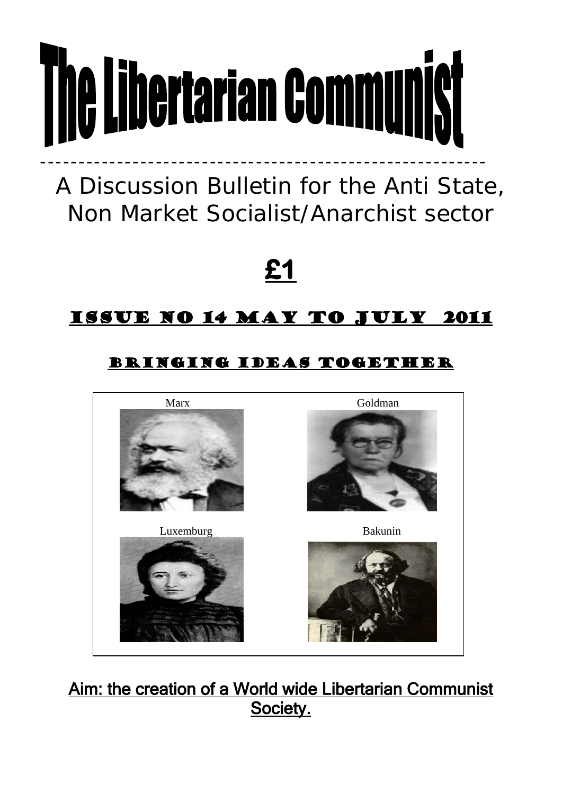# **The Libertarian Communist** ----------------------------------------------------------

A Discussion Bulletin for the Anti State, Non Market Socialist/Anarchist sector

**£1** 

# Issue no 14 May to July 2011

# Bringing ideas together



Aim: the creation of a World wide Libertarian Communist Society.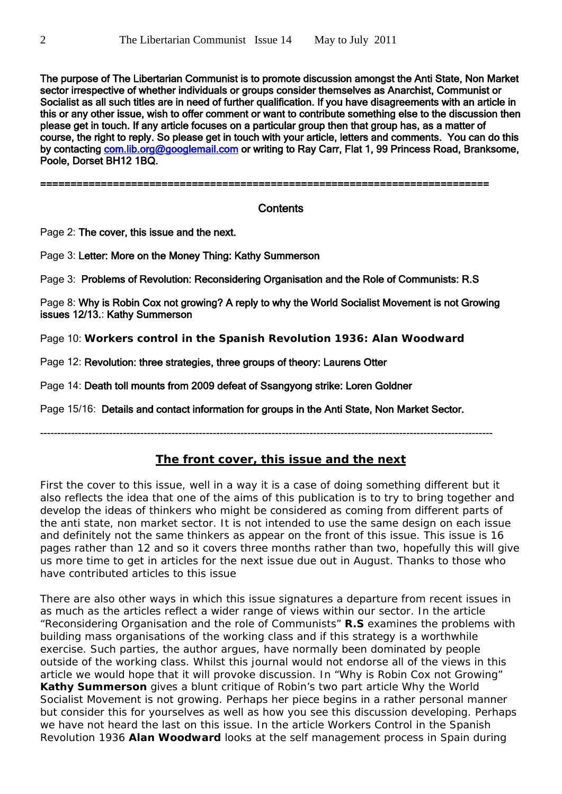The purpose of The Libertarian Communist is to promote discussion amongst the Anti State, Non Market sector irrespective of whether individuals or groups consider themselves as Anarchist, Communist or Socialist as all such titles are in need of further qualification. If you have disagreements with an article in this or any other issue, wish to offer comment or want to contribute something else to the discussion then please get in touch. If any article focuses on a particular group then that group has, as a matter of course, the right to reply. So please get in touch with your article, letters and comments. You can do this by contacting [com.lib.org@googlemail.com](mailto:com.lib.org@googlemail.com) or writing to Ray Carr, Flat 1, 99 Princess Road, Branksome, Poole, Dorset BH12 1BQ.

==========================================================================

# **Contents**

Page 2: The cover, this issue and the next.

Page 3: Letter: More on the Money Thing: Kathy Summerson

Page 3: Problems of Revolution: Reconsidering Organisation and the Role of Communists: R.S

Page 8: Why is Robin Cox not growing? A reply to why the World Socialist Movement is not Growing issues 12/13.: Kathy Summerson

Page 10: **Workers control in the Spanish Revolution 1936: Alan Woodward**

Page 12: Revolution: three strategies, three groups of theory: Laurens Otter

Page 14: Death toll mounts from 2009 defeat of Ssangyong strike: Loren Goldner

Page 15/16: Details and contact information for groups in the Anti State, Non Market Sector.

-----------------------------------------------------------------------------------------------------------------------------------

# **The front cover, this issue and the next**

First the cover to this issue, well in a way it is a case of doing something different but it also reflects the idea that one of the aims of this publication is to try to bring together and develop the ideas of thinkers who might be considered as coming from different parts of the anti state, non market sector. It is not intended to use the same design on each issue and definitely not the same thinkers as appear on the front of this issue. This issue is 16 pages rather than 12 and so it covers three months rather than two, hopefully this will give us more time to get in articles for the next issue due out in August. Thanks to those who have contributed articles to this issue

There are also other ways in which this issue signatures a departure from recent issues in as much as the articles reflect a wider range of views within our sector. In the article "*Reconsidering Organisation and the role of Communists"* **R.S** examines the problems with building mass organisations of the working class and if this strategy is a worthwhile exercise. Such parties, the author argues, have normally been dominated by people outside of the working class. Whilst this journal would not endorse all of the views in this article we would hope that it will provoke discussion. In "*Why is Robin Cox not Growing"* **Kathy Summerson** gives a blunt critique of Robin's two part article Why the World Socialist Movement is not growing. Perhaps her piece begins in a rather personal manner but consider this for yourselves as well as how you see this discussion developing. Perhaps we have not heard the last on this issue. In the article *Workers Control in the Spanish Revolution 1936* **Alan Woodward** looks at the self management process in Spain during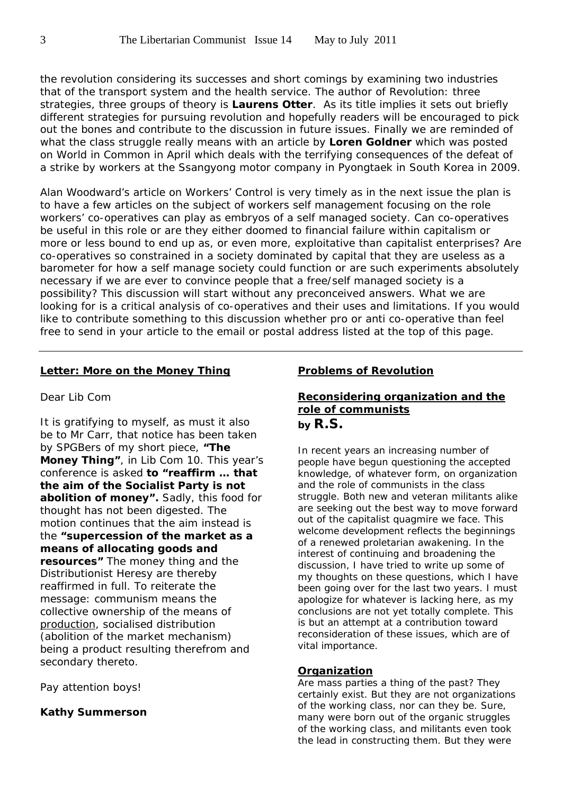the revolution considering its successes and short comings by examining two industries that of the transport system and the health service. The author of *Revolution: three strategies, three groups of theory* is **Laurens Otter**. As its title implies it sets out briefly different strategies for pursuing revolution and hopefully readers will be encouraged to pick out the bones and contribute to the discussion in future issues. Finally we are reminded of what the class struggle really means with an article by **Loren Goldner** which was posted on World in Common in April which deals with the terrifying consequences of the defeat of a strike by workers at the Ssangyong motor company in Pyongtaek in South Korea in 2009.

Alan Woodward's article on Workers' Control is very timely as in the next issue the plan is to have a few articles on the subject of workers self management focusing on the role workers' co-operatives can play as embryos of a self managed society. Can co-operatives be useful in this role or are they either doomed to financial failure within capitalism or more or less bound to end up as, or even more, exploitative than capitalist enterprises? Are co-operatives so constrained in a society dominated by capital that they are useless as a barometer for how a self manage society could function or are such experiments absolutely necessary if we are ever to convince people that a free/self managed society is a possibility? This discussion will start without any preconceived answers. What we are looking for is a critical analysis of co-operatives and their uses and limitations. If you would like to contribute something to this discussion whether pro or anti co-operative than feel free to send in your article to the email or postal address listed at the top of this page.

#### **Letter: More on the Money Thing**

#### Dear Lib Com

It is gratifying to myself, as must it also be to Mr Carr, that notice has been taken by SPGBers of my short piece, **"The Money Thing"**, in Lib Com 10. This year's conference is asked **to "reaffirm … that the aim of the Socialist Party is not abolition of money".** Sadly, this food for thought has not been digested. The motion continues that the aim instead is the **"supercession of the market as a means of allocating goods and resources"** The money thing and the Distributionist Heresy are thereby reaffirmed in full. To reiterate the message: communism means the collective ownership of the means of production, socialised distribution (abolition of the market mechanism) being a product resulting therefrom and secondary thereto.

Pay attention boys!

#### **Kathy Summerson**

# **Problems of Revolution**

# **Reconsidering organization and the role of communists by R.S.**

In recent years an increasing number of people have begun questioning the accepted knowledge, of whatever form, on organization and the role of communists in the class struggle. Both new and veteran militants alike are seeking out the best way to move forward out of the capitalist quagmire we face. This welcome development reflects the beginnings of a renewed proletarian awakening. In the interest of continuing and broadening the discussion, I have tried to write up some of my thoughts on these questions, which I have been going over for the last two years. I must apologize for whatever is lacking here, as my conclusions are not yet totally complete. This is but an attempt at a contribution toward reconsideration of these issues, which are of vital importance.

#### **Organization**

Are mass parties a thing of the past? They certainly exist. But they are not organizations of the working class, nor can they be. Sure, many were born out of the organic struggles of the working class, and militants even took the lead in constructing them. But they were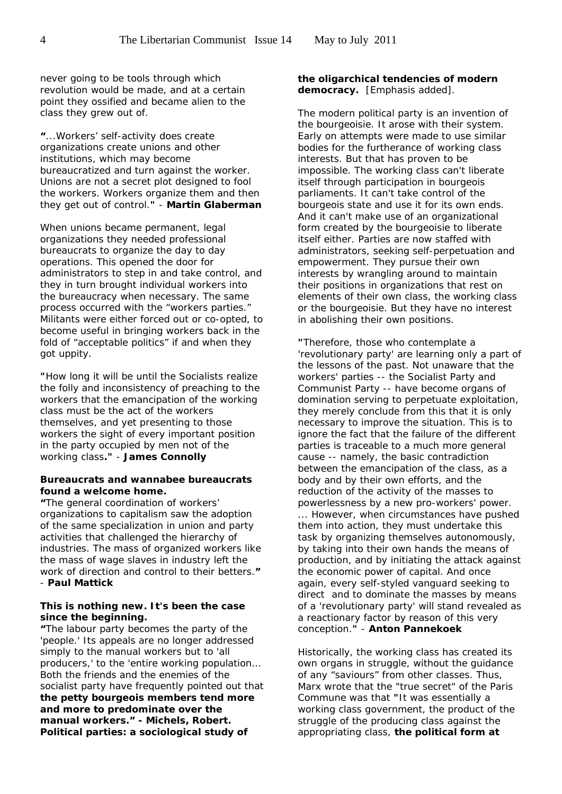never going to be tools through which revolution would be made, and at a certain point they ossified and became alien to the class they grew out of.

**"**...Workers' self-activity does create organizations create unions and other institutions, which may become bureaucratized and turn against the worker. Unions are not a secret plot designed to fool the workers. Workers organize them and then they get out of control.**"** - **Martin Glaberman** 

When unions became permanent, legal organizations they needed professional bureaucrats to organize the day to day operations. This opened the door for administrators to step in and take control, and they in turn brought individual workers into the bureaucracy when necessary. The same process occurred with the "workers parties." Militants were either forced out or co-opted, to become useful in bringing workers back in the fold of "acceptable politics" if and when they got uppity.

**"**How long it will be until the Socialists realize the folly and inconsistency of preaching to the workers that the emancipation of the working class must be the act of the workers themselves, and yet presenting to those workers the sight of every important position in the party occupied by men not of the working class**."** - **James Connolly**

#### *Bureaucrats and wannabee bureaucrats found a welcome home.*

**"**The general coordination of workers' organizations to capitalism saw the adoption of the same specialization in union and party activities that challenged the hierarchy of industries. The mass of organized workers like the mass of wage slaves in industry left the work of direction and control to their betters.**"**  - **Paul Mattick**

#### *This is nothing new. It's been the case since the beginning.*

**"**The labour party becomes the party of the 'people.' Its appeals are no longer addressed simply to the manual workers but to 'all producers,' to the 'entire working population… Both the friends and the enemies of the socialist party have frequently pointed out that *the petty bourgeois members tend more and more to predominate over the manual workers."* **-** *Michels, Robert. Political parties: a sociological study of* 

#### *the oligarchical tendencies of modern democracy.* [Emphasis added].

The modern political party is an invention of the bourgeoisie. It arose with their system. Early on attempts were made to use similar bodies for the furtherance of working class interests. But that has proven to be impossible. The working class can't liberate itself through participation in bourgeois parliaments. It can't take control of the bourgeois state and use it for its own ends. And it can't make use of an organizational form created by the bourgeoisie to liberate itself either. Parties are now staffed with administrators, seeking self-perpetuation and empowerment. They pursue their own interests by wrangling around to maintain their positions in organizations that rest on elements of their own class, the working class or the bourgeoisie. But they have no interest in abolishing their own positions.

**"**Therefore, those who contemplate a 'revolutionary party' are learning only a part of the lessons of the past. Not unaware that the workers' parties -- the Socialist Party and Communist Party -- have become organs of domination serving to perpetuate exploitation, they merely conclude from this that it is only necessary to improve the situation. This is to ignore the fact that the failure of the different parties is traceable to a much more general cause -- namely, the basic contradiction between the emancipation of the class, as a body and by their own efforts, and the reduction of the activity of the masses to powerlessness by a new pro-workers' power. ... However, when circumstances have pushed them into action, they must undertake this task by organizing themselves autonomously, by taking into their own hands the means of production, and by initiating the attack against the economic power of capital. And once again, every self-styled vanguard seeking to direct and to dominate the masses by means of a 'revolutionary party' will stand revealed as a reactionary factor by reason of this very conception.**"** - **Anton Pannekoek**

Historically, the working class has created its own organs in struggle, without the guidance of any "saviours" from other classes. Thus, Marx wrote that the "true secret" of the Paris Commune was that **"**It was essentially a working class government, the product of the struggle of the producing class against the appropriating class, **the political form at**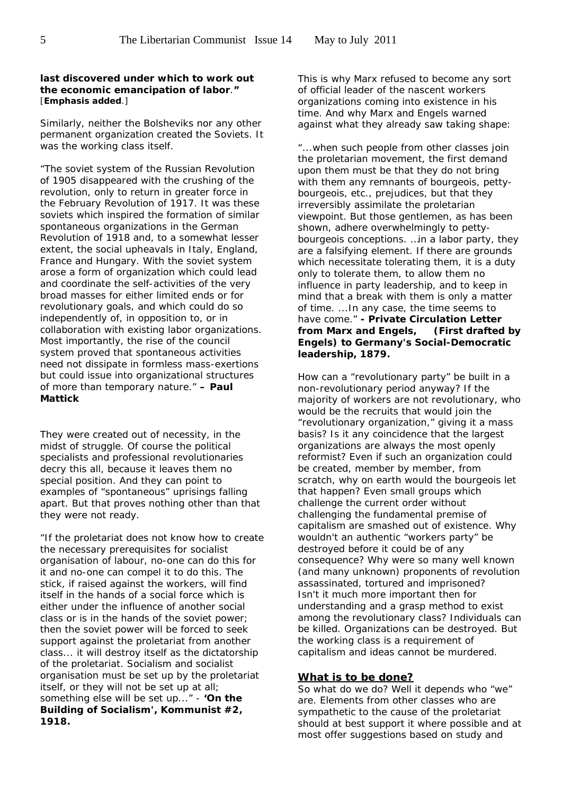#### **last discovered under which to work out the economic emancipation of labor**.**"** [**Emphasis added**.]

Similarly, neither the Bolsheviks nor any other permanent organization created the Soviets. It was the working class itself.

"The soviet system of the Russian Revolution of 1905 disappeared with the crushing of the revolution, only to return in greater force in the February Revolution of 1917. It was these soviets which inspired the formation of similar spontaneous organizations in the German Revolution of 1918 and, to a somewhat lesser extent, the social upheavals in Italy, England, France and Hungary. With the soviet system arose a form of organization which could lead and coordinate the self-activities of the very broad masses for either limited ends or for revolutionary goals, and which could do so independently of, in opposition to, or in collaboration with existing labor organizations. Most importantly, the rise of the council system proved that spontaneous activities need not dissipate in formless mass-exertions but could issue into organizational structures of more than temporary nature." **– Paul Mattick** 

They were created out of necessity, in the midst of struggle. Of course the political specialists and professional revolutionaries decry this all, because it leaves them no special position. And they can point to examples of "spontaneous" uprisings falling apart. But that proves nothing other than that they were not ready.

"If the proletariat does not know how to create the necessary prerequisites for socialist organisation of labour, no-one can do this for it and no-one can compel it to do this. The stick, if raised against the workers, will find itself in the hands of a social force which is either under the influence of another social class or is in the hands of the soviet power; then the soviet power will be forced to seek support against the proletariat from another class... it will destroy itself as the dictatorship of the proletariat. Socialism and socialist organisation must be set up by the proletariat itself, or they will not be set up at all; something else will be set up..." - **'On the Building of Socialism',** *Kommunist* **#2, 1918.**

This is why Marx refused to become any sort of official leader of the nascent workers organizations coming into existence in his time. And why Marx and Engels warned against what they already saw taking shape:

"...when such people from other classes join the proletarian movement, the first demand upon them must be that they do not bring with them any remnants of bourgeois, pettybourgeois, etc., prejudices, but that they irreversibly assimilate the proletarian viewpoint. But those gentlemen, as has been shown, adhere overwhelmingly to pettybourgeois conceptions. …in a labor party, they are a falsifying element. If there are grounds which necessitate tolerating them, it is a duty only to tolerate them, to allow them no influence in party leadership, and to keep in mind that a break with them is only a matter of time. ...In any case, the time seems to have come." **-** *Private Circulation Letter from Marx and Engels, (First drafted by Engels) to Germany's Social-Democratic leadership***, 1879.**

How can a "revolutionary party" be built in a non-revolutionary period anyway? If the majority of workers are not revolutionary, who would be the recruits that would join the "revolutionary organization," giving it a mass basis? Is it any coincidence that the largest organizations are always the most openly reformist? Even if such an organization could be created, member by member, from scratch, why on earth would the bourgeois let that happen? Even small groups which challenge the current order without challenging the fundamental premise of capitalism are smashed out of existence. Why wouldn't an authentic "workers party" be destroyed before it could be of any consequence? Why were so many well known (and many unknown) proponents of revolution assassinated, tortured and imprisoned? Isn't it much more important then for understanding and a grasp method to exist among the revolutionary class? Individuals can be killed. Organizations can be destroyed. But the working class is a requirement of capitalism and ideas cannot be murdered.

#### **What is to be done?**

So what do we do? Well it depends who "we" are. Elements from other classes who are sympathetic to the cause of the proletariat should at best support it where possible and at most offer suggestions based on study and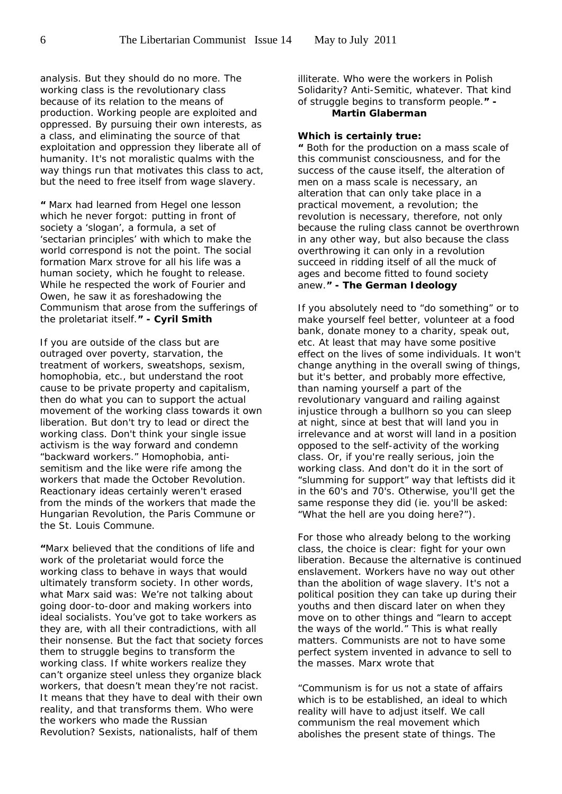analysis. But they should do no more. The working class is the revolutionary class because of its relation to the means of production. Working people are exploited and oppressed. By pursuing their own interests, as a class, and eliminating the source of that exploitation and oppression they liberate all of humanity. It's not moralistic qualms with the way things run that motivates this class to act, but the need to free itself from wage slavery.

**"** Marx had learned from Hegel one lesson which he never forgot: putting in front of society a 'slogan', a formula, a set of 'sectarian principles' with which to make the world correspond is not the point. The social formation Marx strove for all his life was a human society, which he fought to release. While he respected the work of Fourier and Owen, he saw it as foreshadowing the Communism that arose from the sufferings of the proletariat itself.**" - Cyril Smith**

If you are outside of the class but are outraged over poverty, starvation, the treatment of workers, sweatshops, sexism, homophobia, etc., but understand the root cause to be private property and capitalism, then do what you can to support the actual movement of the working class towards it own liberation. But don't try to lead or direct the working class. Don't think your single issue activism is the way forward and condemn "backward workers." Homophobia, antisemitism and the like were rife among the workers that made the October Revolution. Reactionary ideas certainly weren't erased from the minds of the workers that made the Hungarian Revolution, the Paris Commune or the St. Louis Commune.

**"**Marx believed that the conditions of life and work of the proletariat would force the working class to behave in ways that would ultimately transform society. In other words, what Marx said was: We're not talking about going door-to-door and making workers into ideal socialists. You've got to take workers as they are, with all their contradictions, with all their nonsense. But the fact that society forces them to struggle begins to transform the working class. If white workers realize they can't organize steel unless they organize black workers, that doesn't mean they're not racist. It means that they have to deal with their own reality, and that transforms them. Who were the workers who made the Russian Revolution? Sexists, nationalists, half of them

illiterate. Who were the workers in Polish Solidarity? Anti-Semitic, whatever. That kind of struggle begins to transform people.**" - Martin Glaberman**

#### *Which is certainly true:*

**"** Both for the production on a mass scale of this communist consciousness, and for the success of the cause itself, the alteration of men on a mass scale is necessary, an alteration that can only take place in a practical movement, a revolution; the revolution is necessary, therefore, not only because the ruling class cannot be overthrown in any other way, but also because the class overthrowing it can only in a revolution succeed in ridding itself of all the muck of ages and become fitted to found society anew.**" -** *The German Ideology*

If you absolutely need to "do something" or to make yourself feel better, volunteer at a food bank, donate money to a charity, speak out, etc. At least that may have some positive effect on the lives of some individuals. It won't change anything in the overall swing of things, but it's better, and probably more effective, than naming yourself a part of the revolutionary vanguard and railing against injustice through a bullhorn so you can sleep at night, since at best that will land you in irrelevance and at worst will land in a position opposed to the self-activity of the working class. Or, if you're really serious, join the working class. And don't do it in the sort of "slumming for support" way that leftists did it in the 60's and 70's. Otherwise, you'll get the same response they did (ie. you'll be asked: "What the hell are you doing here?").

For those who already belong to the working class, the choice is clear: fight for your own liberation. Because the alternative is continued enslavement. Workers have no way out other than the abolition of wage slavery. It's not a political position they can take up during their youths and then discard later on when they move on to other things and "learn to accept the ways of the world." This is what really matters. Communists are not to have some perfect system invented in advance to sell to the masses. Marx wrote that

"Communism is for us not a *state of affairs* which is to be established, an *ideal* to which reality will have to adjust itself. We call communism the *real* movement which abolishes the present state of things. The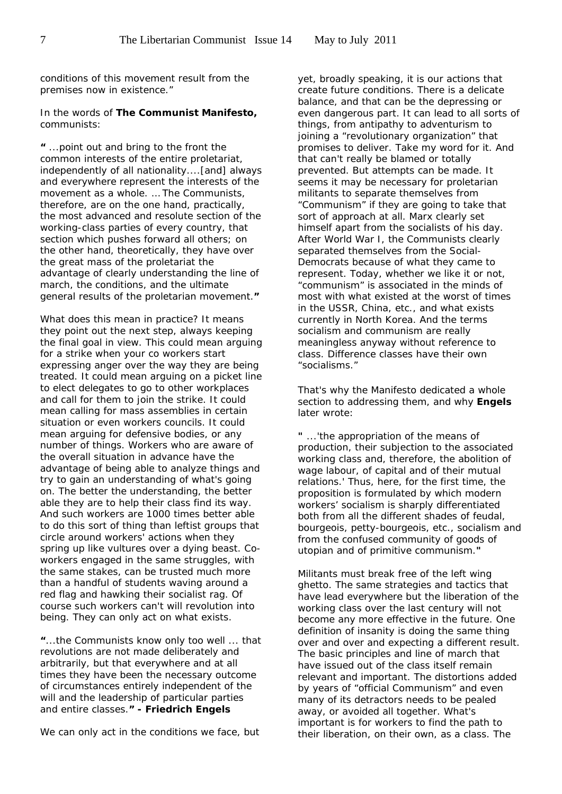conditions of this movement result from the premises now in existence."

In the words of *The Communist Manifesto***,** communists:

**"** ...point out and bring to the front the common interests of the entire proletariat, independently of all nationality....[and] always and everywhere represent the interests of the movement as a whole. … The Communists, therefore, are on the one hand, practically, the most advanced and resolute section of the working-class parties of every country, that section which pushes forward all others; on the other hand, theoretically, they have over the great mass of the proletariat the advantage of clearly understanding the line of march, the conditions, and the ultimate general results of the proletarian movement.**"** 

What does this mean in practice? It means they point out the next step, always keeping the final goal in view. This could mean arguing for a strike when your co workers start expressing anger over the way they are being treated. It could mean arguing on a picket line to elect delegates to go to other workplaces and call for them to join the strike. It could mean calling for mass assemblies in certain situation or even workers councils. It could mean arguing for defensive bodies, or any number of things. Workers who are aware of the overall situation in advance have the advantage of being able to analyze things and try to gain an understanding of what's going on. The better the understanding, the better able they are to help their class find its way. And such workers are 1000 times better able to do this sort of thing than leftist groups that circle around workers' actions when they spring up like vultures over a dying beast. Coworkers engaged in the same struggles, with the same stakes, can be trusted much more than a handful of students waving around a red flag and hawking their socialist rag. Of course such workers can't *will* revolution into being. They can only act on what exists.

**"**...the Communists know only too well ... that revolutions are not made deliberately and arbitrarily, but that everywhere and at all times they have been the necessary outcome of circumstances entirely independent of the will and the leadership of particular parties and entire classes.**" - Friedrich Engels**

We can only act in the conditions we face, but

yet, broadly speaking, it is our actions that create future conditions. There is a delicate balance, and that can be the depressing or even dangerous part. It can lead to all sorts of things, from antipathy to adventurism to joining a "revolutionary organization" that promises to deliver. Take my word for it. And that can't really be blamed or totally prevented. But attempts can be made. It seems it may be necessary for proletarian militants to separate themselves from "Communism" if they are going to take that sort of approach at all. Marx clearly set himself apart from the socialists of his day. After World War I, the Communists clearly separated themselves from the Social-Democrats because of what they came to represent. Today, whether we like it or not, "communism" is associated in the minds of most with what existed at the worst of times in the USSR, China, etc., and what exists currently in North Korea. And the terms socialism and communism are really meaningless anyway without reference to class. Difference classes have their own "socialisms."

That's why the Manifesto dedicated a whole section to addressing them, and why **Engels** later wrote:

**"** ...'the appropriation of the means of production, their subjection to the associated working class and, therefore, the abolition of wage labour, of capital and of their mutual relations.' Thus, here, for the first time, the proposition is formulated by which modern workers' socialism is sharply differentiated both from all the different shades of feudal, bourgeois, petty-bourgeois, etc., socialism and from the confused community of goods of utopian and of primitive communism.**"**

Militants must break free of the left wing ghetto. The same strategies and tactics that have lead everywhere but the liberation of the working class over the last century will not become any more effective in the future. One definition of insanity is doing the same thing over and over and expecting a different result. The basic principles and line of march that have issued out of the class itself remain relevant and important. The distortions added by years of "official Communism" and even many of its detractors needs to be pealed away, or avoided all together. What's important is for workers to find the path to their liberation, on their own, as a class. The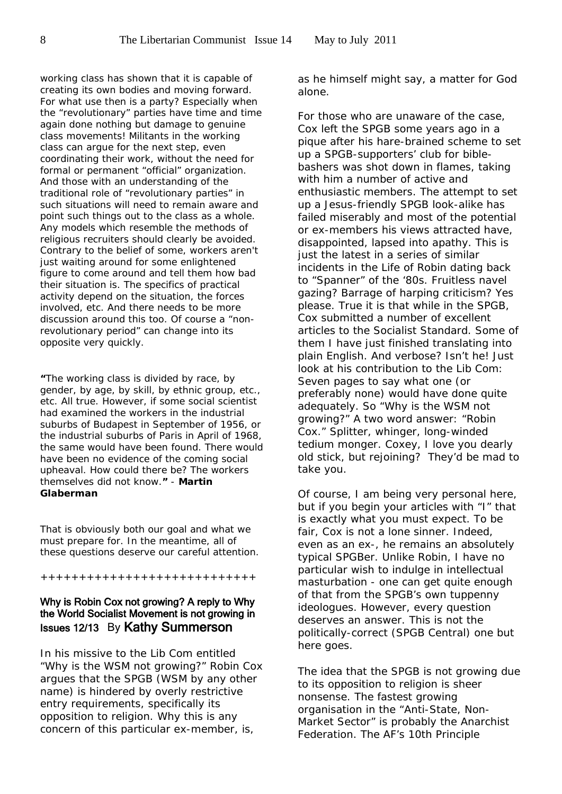working class has shown that it is capable of creating its own bodies and moving forward. For what use then is a party? Especially when the "revolutionary" parties have time and time again done nothing but damage to genuine class movements! Militants in the working class can argue for the next step, even coordinating their work, without the need for formal or permanent "official" organization. And those with an understanding of the traditional role of "revolutionary parties" in such situations will need to remain aware and point such things out to the class as a whole. Any models which resemble the methods of religious recruiters should clearly be avoided. Contrary to the belief of some, workers aren't just waiting around for some enlightened figure to come around and tell them how bad their situation is. The specifics of practical activity depend on the situation, the forces involved, etc. And there needs to be more discussion around this too. Of course a "nonrevolutionary period" can change into its opposite very quickly.

**"**The working class is divided by race, by gender, by age, by skill, by ethnic group, etc., etc. All true. However, if some social scientist had examined the workers in the industrial suburbs of Budapest in September of 1956, or the industrial suburbs of Paris in April of 1968, the same would have been found. There would have been no evidence of the coming social upheaval. How could there be? The workers themselves did not know.**"** - **Martin Glaberman**

That is obviously both our goal and what we must prepare for. In the meantime, all of these questions deserve our careful attention.

++++++++++++++++++++++++++++

# Why is Robin Cox not growing? A reply to Why the World Socialist Movement is not growing in Issues 12/13 By Kathy Summerson

In his missive to the Lib Com entitled "Why is the WSM not growing?" Robin Cox argues that the SPGB (WSM by any other name) is hindered by overly restrictive entry requirements, specifically its opposition to religion. Why this is any concern of this particular ex-member, is,

as he himself might say, a matter for God alone.

For those who are unaware of the case, Cox left the SPGB some years ago in a pique after his hare-brained scheme to set up a SPGB-supporters' club for biblebashers was shot down in flames, taking with him a number of active and enthusiastic members. The attempt to set up a Jesus-friendly SPGB look-alike has failed miserably and most of the potential or ex-members his views attracted have, disappointed, lapsed into apathy. This is just the latest in a series of similar incidents in the Life of Robin dating back to "Spanner" of the '80s. Fruitless navel gazing? Barrage of harping criticism? Yes please. True it is that while in the SPGB, Cox submitted a number of excellent articles to the *Socialist Standard*. Some of them I have just finished translating into plain English. And verbose? Isn't he! Just look at his contribution to the Lib Com: Seven pages to say what one (or preferably none) would have done quite adequately. So "Why is the WSM not growing?" A two word answer: "Robin Cox." Splitter, whinger, long-winded tedium monger. Coxey, I love you dearly old stick, but rejoining? They'd be mad to take you.

Of course, I am being very personal here, but if you begin your articles with "I" that is exactly what you must expect. To be fair, Cox is not a lone sinner. Indeed, even as an ex-, he remains an absolutely typical SPGBer. Unlike Robin, I have no particular wish to indulge in intellectual masturbation - one can get quite enough of that from the SPGB's own tuppenny ideologues. However, every question deserves an answer. This is not the politically-correct (SPGB Central) one but here goes.

The idea that the SPGB is not growing due to its opposition to religion is sheer nonsense. The fastest growing organisation in the "Anti-State, Non-Market Sector" is probably the Anarchist Federation. The AF's 10th Principle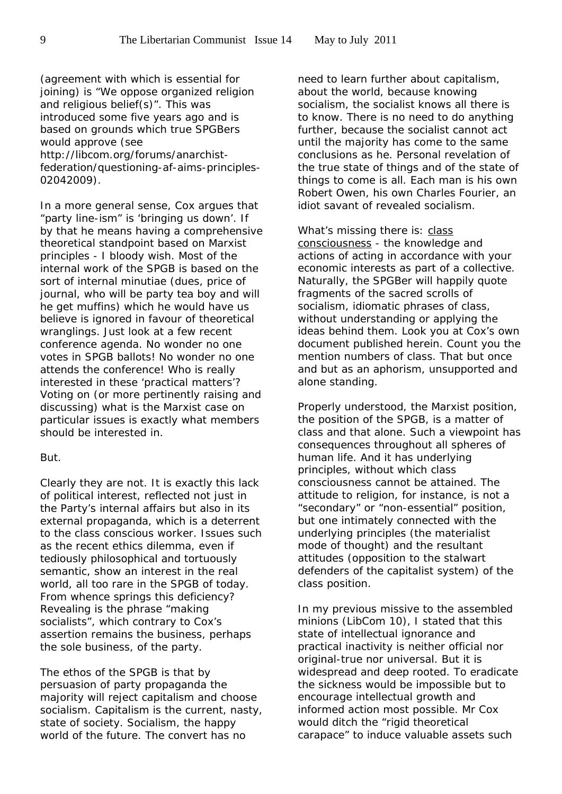(agreement with which is essential for joining) is "We oppose organized religion and religious belief(s)". This was introduced some five years ago and is based on grounds which true SPGBers would approve (see http://libcom.org/forums/anarchistfederation/questioning-af-aims-principles-02042009).

In a more general sense, Cox argues that "party line-ism" is 'bringing us down'. If by that he means having a comprehensive theoretical standpoint based on Marxist principles - I bloody wish. Most of the internal work of the SPGB *is* based on the sort of internal minutiae (dues, price of journal, who will be party tea boy and will he get muffins) which he would have us believe is ignored in favour of theoretical wranglings. Just look at a few recent conference agenda. No wonder no one votes in SPGB ballots! No wonder no one attends the conference! Who is really interested in these 'practical matters'? Voting on (or more pertinently raising and discussing) what is the Marxist case on particular issues is exactly what members should be interested in.

#### But.

Clearly they are not. It is exactly this lack of political interest, reflected not just in the Party's internal affairs but also in its external propaganda, which is a deterrent to the class conscious worker. Issues such as the recent ethics dilemma, even if tediously philosophical and tortuously semantic, show an interest in the real world, all too rare in the SPGB of today. From whence springs this deficiency? Revealing is the phrase "making socialists", which contrary to Cox's assertion remains the business, perhaps the sole business, of the party.

The ethos of the SPGB is that by persuasion of party propaganda the majority will reject capitalism and choose socialism. Capitalism is the current, nasty, state of society. Socialism, the happy world of the future. The convert has no

need to learn further about capitalism, about the world, because knowing socialism, the socialist knows all there is to know. There is no need to do anything further, because the socialist cannot act until the majority has come to the same conclusions as he. Personal revelation of the true state of things and of the state of things to come is all. Each man is his own Robert Owen, his own Charles Fourier, an idiot savant of revealed socialism.

What's missing there is: class consciousness - the knowledge and actions of acting in accordance with your economic interests as part of a collective. Naturally, the SPGBer will happily quote fragments of the sacred scrolls of socialism, idiomatic phrases of class, without understanding or applying the ideas behind them. Look you at Cox's own document published herein. Count you the mention numbers of class. That but once and but as an aphorism, unsupported and alone standing.

Properly understood, the Marxist position, the position of the SPGB, is a matter of class and that alone. Such a viewpoint has consequences throughout all spheres of human life. And it has underlying principles, without which class consciousness cannot be attained. The attitude to religion, for instance, is not a "secondary" or "non-essential" position, but one intimately connected with the underlying principles (the materialist mode of thought) and the resultant attitudes (opposition to the stalwart defenders of the capitalist system) of the class position.

In my previous missive to the assembled minions (LibCom 10), I stated that this state of intellectual ignorance and practical inactivity is neither official nor original-true nor universal. But it is widespread and deep rooted. To eradicate the sickness would be impossible but to encourage intellectual growth and informed action most possible. Mr Cox would ditch the "rigid theoretical carapace" to induce valuable assets such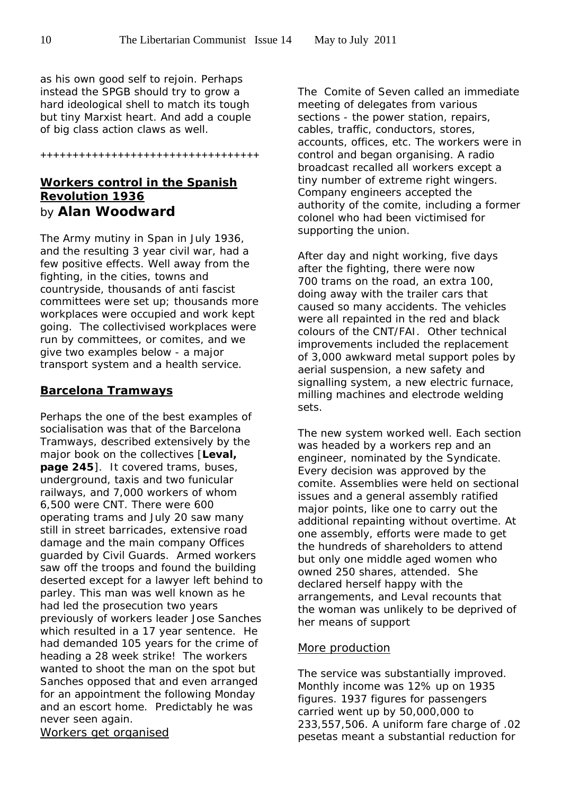as his own good self to rejoin. Perhaps instead the SPGB should try to grow a hard ideological shell to match its tough but tiny Marxist heart. And add a couple of big class action claws as well.

**++++++++++++++++++++++++++++++++++**

# **Workers control in the Spanish Revolution 1936** by **Alan Woodward**

The Army mutiny in Span in July 1936, and the resulting 3 year civil war, had a few positive effects. Well away from the fighting, in the cities, towns and countryside, thousands of anti fascist committees were set up; thousands more workplaces were occupied and work kept going. The collectivised workplaces were run by committees, or comites, and we give two examples below - a major transport system and a health service.

# **Barcelona Tramways**

Perhaps the one of the best examples of socialisation was that of the Barcelona Tramways, described extensively by the major book on the collectives [**Leval, page 245**]. It covered trams, buses, underground, taxis and two funicular railways, and 7,000 workers of whom 6,500 were CNT. There were 600 operating trams and July 20 saw many still in street barricades, extensive road damage and the main company Offices guarded by Civil Guards. Armed workers saw off the troops and found the building deserted except for a lawyer left behind to parley. This man was well known as he had led the prosecution two years previously of workers leader Jose Sanches which resulted in a 17 year sentence. He had demanded 105 years for the crime of heading a 28 week strike! The workers wanted to shoot the man on the spot but Sanches opposed that and even arranged for an appointment the following Monday and an escort home. Predictably he was never seen again.

*Workers get organised*

The Comite of Seven called an immediate meeting of delegates from various sections - the power station, repairs, cables, traffic, conductors, stores, accounts, offices, etc. The workers were in control and began organising. A radio broadcast recalled all workers except a tiny number of extreme right wingers. Company engineers accepted the authority of the comite, including a former colonel who had been victimised for supporting the union.

After day and night working, five days after the fighting, there were now 700 trams on the road, an extra 100, doing away with the trailer cars that caused so many accidents. The vehicles were all repainted in the red and black colours of the CNT/FAI. Other technical improvements included the replacement of 3,000 awkward metal support poles by aerial suspension, a new safety and signalling system, a new electric furnace, milling machines and electrode welding sets.

The new system worked well. Each section was headed by a workers rep and an engineer, nominated by the Syndicate. Every decision was approved by the comite. Assemblies were held on sectional issues and a general assembly ratified major points, like one to carry out the additional repainting without overtime. At one assembly, efforts were made to get the hundreds of shareholders to attend but only one middle aged women who owned 250 shares, attended. She declared herself happy with the arrangements, and Leval recounts that the woman was unlikely to be deprived of her means of support

# *More production*

The service was substantially improved. Monthly income was 12% up on 1935 figures. 1937 figures for passengers carried went up by 50,000,000 to 233,557,506. A uniform fare charge of .02 pesetas meant a substantial reduction for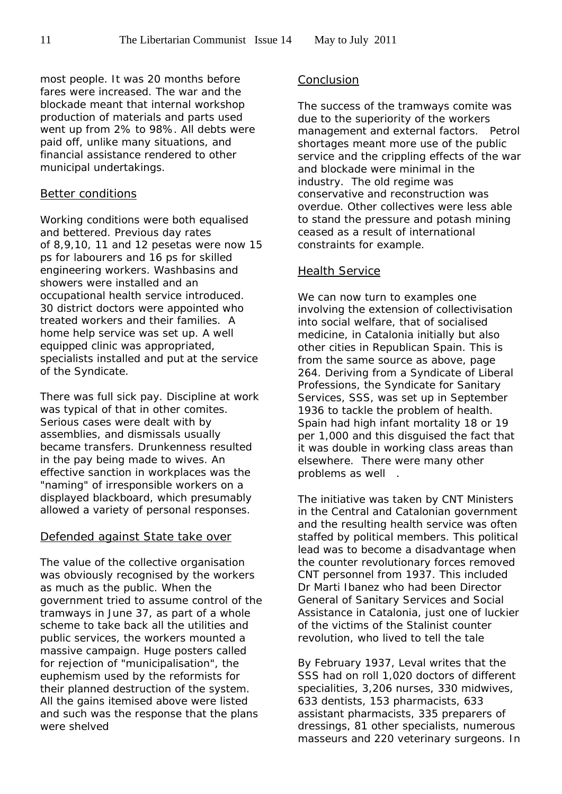most people. It was 20 months before fares were increased. The war and the blockade meant that internal workshop production of materials and parts used went up from 2% to 98%. All debts were paid off, unlike many situations, and financial assistance rendered to other municipal undertakings.

#### *Better conditions*

Working conditions were both equalised and bettered. Previous day rates of 8,9,10, 11 and 12 pesetas were now 15 ps for labourers and 16 ps for skilled engineering workers. Washbasins and showers were installed and an occupational health service introduced. 30 district doctors were appointed who treated workers and their families. A home help service was set up. A well equipped clinic was appropriated, specialists installed and put at the service of the Syndicate.

There was full sick pay. Discipline at work was typical of that in other comites. Serious cases were dealt with by assemblies, and dismissals usually became transfers. Drunkenness resulted in the pay being made to wives. An effective sanction in workplaces was the "naming" of irresponsible workers on a displayed blackboard, which presumably allowed a variety of personal responses.

#### *Defended against State take over*

The value of the collective organisation was obviously recognised by the workers as much as the public. When the government tried to assume control of the tramways in June 37, as part of a whole scheme to take back all the utilities and public services, the workers mounted a massive campaign. Huge posters called for rejection of "municipalisation", the euphemism used by the reformists for their planned destruction of the system. All the gains itemised above were listed and such was the response that the plans were shelved

#### *Conclusion*

The success of the tramways comite was due to the superiority of the workers management and external factors. Petrol shortages meant more use of the public service and the crippling effects of the war and blockade were minimal in the industry. The old regime was conservative and reconstruction was overdue. Other collectives were less able to stand the pressure and potash mining ceased as a result of international constraints for example.

#### Health Service

We can now turn to examples one involving the extension of collectivisation into social welfare, that of socialised medicine, in Catalonia initially but also other cities in Republican Spain. This is from the same source as above, page 264. Deriving from a Syndicate of Liberal Professions, the Syndicate for Sanitary Services, SSS, was set up in September 1936 to tackle the problem of health. Spain had high infant mortality 18 or 19 per 1,000 and this disguised the fact that it was double in working class areas than elsewhere. There were many other problems as well .

The initiative was taken by CNT Ministers in the Central and Catalonian government and the resulting health service was often staffed by political members. This political lead was to become a disadvantage when the counter revolutionary forces removed CNT personnel from 1937. This included Dr Marti Ibanez who had been Director General of Sanitary Services and Social Assistance in Catalonia, just one of luckier of the victims of the Stalinist counter revolution, who lived to tell the tale

By February 1937, Leval writes that the SSS had on roll 1,020 doctors of different specialities, 3,206 nurses, 330 midwives, 633 dentists, 153 pharmacists, 633 assistant pharmacists, 335 preparers of dressings, 81 other specialists, numerous masseurs and 220 veterinary surgeons. In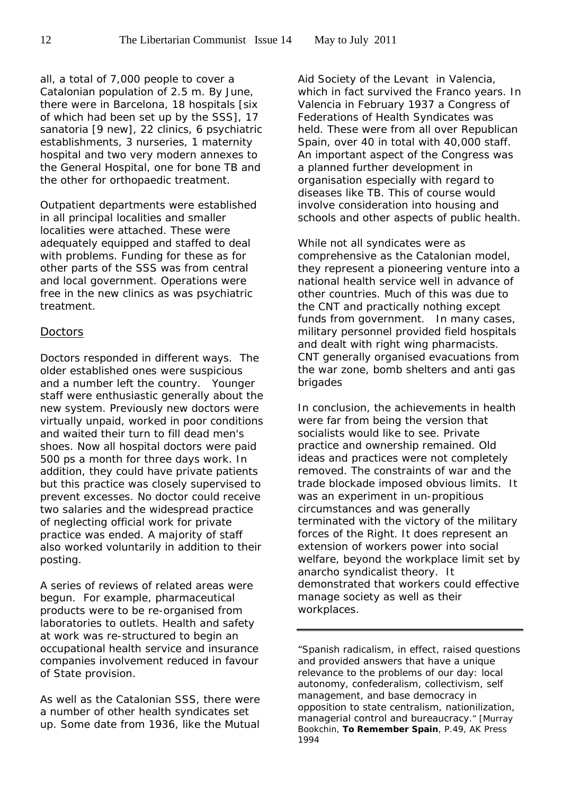all, a total of 7,000 people to cover a Catalonian population of 2.5 m. By June, there were in Barcelona, 18 hospitals [six of which had been set up by the SSS], 17 sanatoria [9 new], 22 clinics, 6 psychiatric establishments, 3 nurseries, 1 maternity hospital and two very modern annexes to the General Hospital, one for bone TB and the other for orthopaedic treatment.

Outpatient departments were established in all principal localities and smaller localities were attached. These were adequately equipped and staffed to deal with problems. Funding for these as for other parts of the SSS was from central and local government. Operations were free in the new clinics as was psychiatric treatment.

#### *Doctors*

Doctors responded in different ways. The older established ones were suspicious and a number left the country. Younger staff were enthusiastic generally about the new system. Previously new doctors were virtually unpaid, worked in poor conditions and waited their turn to fill dead men's shoes. Now all hospital doctors were paid 500 ps a month for three days work. In addition, they could have private patients but this practice was closely supervised to prevent excesses. No doctor could receive two salaries and the widespread practice of neglecting official work for private practice was ended. A majority of staff also worked voluntarily in addition to their posting.

A series of reviews of related areas were begun. For example, pharmaceutical products were to be re-organised from laboratories to outlets. Health and safety at work was re-structured to begin an occupational health service and insurance companies involvement reduced in favour of State provision.

As well as the Catalonian SSS, there were a number of other health syndicates set up. Some date from 1936, like the Mutual

Aid Society of the Levant in Valencia, which in fact survived the Franco years. In Valencia in February 1937 a Congress of Federations of Health Syndicates was held. These were from all over Republican Spain, over 40 in total with 40,000 staff. An important aspect of the Congress was a planned further development in organisation especially with regard to diseases like TB. This of course would involve consideration into housing and schools and other aspects of public health.

While not all syndicates were as comprehensive as the Catalonian model, they represent a pioneering venture into a national health service well in advance of other countries. Much of this was due to the CNT and practically nothing except funds from government. In many cases, military personnel provided field hospitals and dealt with right wing pharmacists. CNT generally organised evacuations from the war zone, bomb shelters and anti gas brigades

In conclusion, the achievements in health were far from being the version that socialists would like to see. Private practice and ownership remained. Old ideas and practices were not completely removed. The constraints of war and the trade blockade imposed obvious limits. It was an experiment in un-propitious circumstances and was generally terminated with the victory of the military forces of the Right. It does represent an extension of workers power into social welfare, beyond the workplace limit set by anarcho syndicalist theory. It demonstrated that workers could effective manage society as well as their workplaces.

"Spanish radicalism, in effect, raised questions and provided answers that have a unique relevance to the problems of our day: local autonomy, confederalism, collectivism, self management, and base democracy in opposition to state centralism, nationilization, managerial control and bureaucracy." [Murray Bookchin, **To Remember Spain**, P.49, AK Press 1994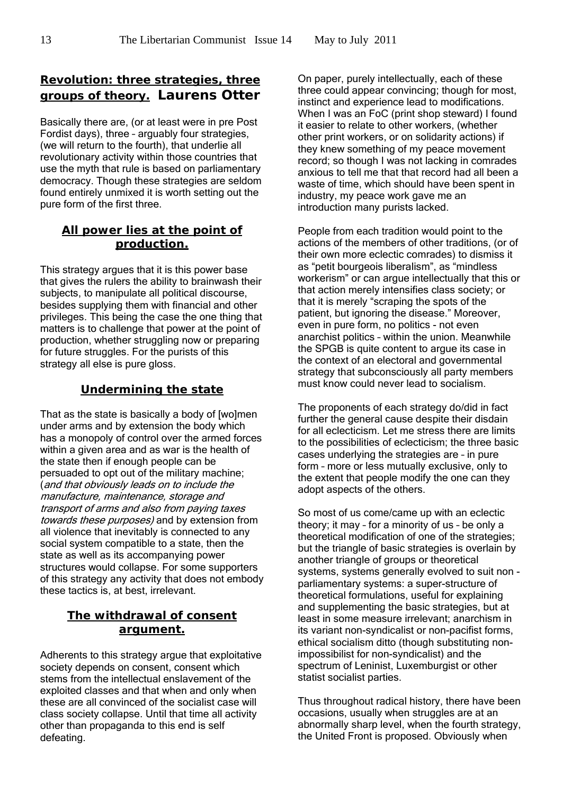# **Revolution: three strategies, three groups of theory. Laurens Otter**

Basically there are, (or at least were in pre Post Fordist days), three – arguably four strategies, (we will return to the fourth), that underlie all revolutionary activity within those countries that use the myth that rule is based on parliamentary democracy. Though these strategies are seldom found entirely unmixed it is worth setting out the pure form of the first three.

# **All power lies at the point of production.**

This strategy argues that it is this power base that gives the rulers the ability to brainwash their subjects, to manipulate all political discourse, besides supplying them with financial and other privileges. This being the case the one thing that matters is to challenge that power at the point of production, whether struggling now or preparing for future struggles. For the purists of this strategy all else is pure gloss.

# **Undermining the state**

That as the state is basically a body of [wo]men under arms and by extension the body which has a monopoly of control over the armed forces within a given area and as war is the health of the state then if enough people can be persuaded to opt out of the military machine; (and that obviously leads on to include the manufacture, maintenance, storage and transport of arms and also from paying taxes towards these purposes) and by extension from all violence that inevitably is connected to any social system compatible to a state, then the state as well as its accompanying power structures would collapse. For some supporters of this strategy any activity that does not embody these tactics is, at best, irrelevant.

# **The withdrawal of consent argument.**

Adherents to this strategy argue that exploitative society depends on consent, consent which stems from the intellectual enslavement of the exploited classes and that when and only when these are all convinced of the socialist case will class society collapse. Until that time all activity other than propaganda to this end is self defeating.

On paper, purely intellectually, each of these three could appear convincing; though for most, instinct and experience lead to modifications. When I was an FoC (print shop steward) I found it easier to relate to other workers, (whether other print workers, or on solidarity actions) if they knew something of my peace movement record; so though I was not lacking in comrades anxious to tell me that that record had all been a waste of time, which should have been spent in industry, my peace work gave me an introduction many purists lacked.

People from each tradition would point to the actions of the members of other traditions, (or of their own more eclectic comrades) to dismiss it as "petit bourgeois liberalism", as "mindless workerism" or can argue intellectually that this or that action merely intensifies class society; or that it is merely "scraping the spots of the patient, but ignoring the disease." Moreover, even in pure form, no politics - not even anarchist politics – within the union. Meanwhile the SPGB is quite content to argue its case in the context of an electoral and governmental strategy that subconsciously all party members must know could never lead to socialism.

The proponents of each strategy do/did in fact further the general cause despite their disdain for all eclecticism. Let me stress there are limits to the possibilities of eclecticism; the three basic cases underlying the strategies are – in pure form – more or less mutually exclusive, only to the extent that people modify the one can they adopt aspects of the others.

So most of us come/came up with an eclectic theory; it may – for a minority of us – be only a theoretical modification of one of the strategies; but the triangle of basic strategies is overlain by another triangle of groups or theoretical systems, systems generally evolved to suit non parliamentary systems: a super-structure of theoretical formulations, useful for explaining and supplementing the basic strategies, but at least in some measure irrelevant; anarchism in its variant non-syndicalist or non-pacifist forms, ethical socialism ditto (though substituting nonimpossibilist for non-syndicalist) and the spectrum of Leninist, Luxemburgist or other statist socialist parties.

Thus throughout radical history, there have been occasions, usually when struggles are at an abnormally sharp level, when the fourth strategy, the United Front is proposed. Obviously when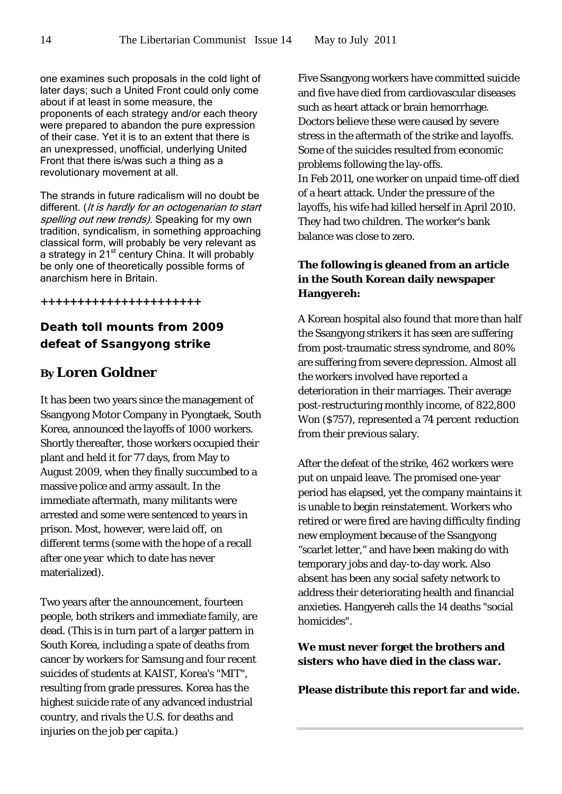one examines such proposals in the cold light of later days; such a United Front could only come about if at least in some measure, the proponents of each strategy and/or each theory were prepared to abandon the pure expression of their case. Yet it is to an extent that there is an unexpressed, unofficial, underlying United Front that there is/was such a thing as a revolutionary movement at all.

The strands in future radicalism will no doubt be different. (It is hardly for an octogenarian to start spelling out new trends). Speaking for my own tradition, syndicalism, in something approaching classical form, will probably be very relevant as a strategy in 21<sup>st</sup> century China. It will probably be only one of theoretically possible forms of anarchism here in Britain.

**++++++++++++++++++++++**

# **Death toll mounts from 2009 defeat of Ssangyong strike**

# **By Loren Goldner**

It has been two years since the management of Ssangyong Motor Company in Pyongtaek, South Korea, announced the layoffs of 1000 workers. Shortly thereafter, those workers occupied their plant and held it for 77 days, from May to August 2009, when they finally succumbed to a massive police and army assault. In the immediate aftermath, many militants were arrested and some were sentenced to years in prison. Most, however, were laid off, on different terms (some with the hope of a recall after one year which to date has never materialized).

Two years after the announcement, fourteen people, both strikers and immediate family, are dead. (This is in turn part of a larger pattern in South Korea, including a spate of deaths from cancer by workers for Samsung and four recent suicides of students at KAIST, Korea's "MIT", resulting from grade pressures. Korea has the highest suicide rate of any advanced industrial country, and rivals the U.S. for deaths and injuries on the job per capita.)

Five Ssangyong workers have committed suicide and five have died from cardiovascular diseases such as heart attack or brain hemorrhage. Doctors believe these were caused by severe stress in the aftermath of the strike and layoffs. Some of the suicides resulted from economic problems following the lay-offs. In Feb 2011, one worker on unpaid time-off died of a heart attack. Under the pressure of the layoffs, his wife had killed herself in April 2010. They had two children. The worker's bank balance was close to zero.

# **The following is gleaned from an article in the South Korean daily newspaper Hangyereh:**

A Korean hospital also found that more than half the Ssangyong strikers it has seen are suffering from post-traumatic stress syndrome, and 80% are suffering from severe depression. Almost all the workers involved have reported a deterioration in their marriages. Their average post-restructuring monthly income, of 822,800 Won (\$757), represented a 74 percent reduction from their previous salary.

After the defeat of the strike, 462 workers were put on unpaid leave. The promised one-year period has elapsed, yet the company maintains it is unable to begin reinstatement. Workers who retired or were fired are having difficulty finding new employment because of the Ssangyong "scarlet letter," and have been making do with temporary jobs and day-to-day work. Also absent has been any social safety network to address their deteriorating health and financial anxieties. Hangyereh calls the 14 deaths "social homicides".

**We must never forget the brothers and sisters who have died in the class war.**

**Please distribute this report far and wide.**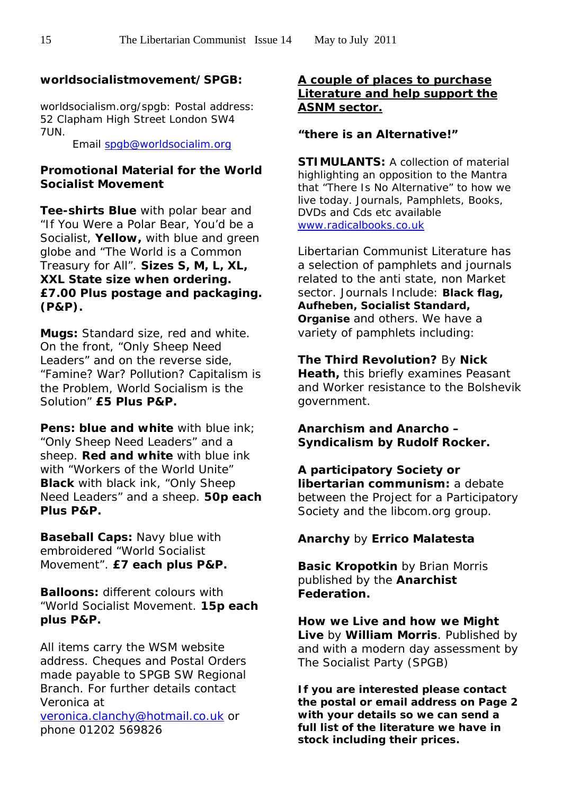# **worldsocialistmovement/SPGB:**

worldsocialism.org/spgb: Postal address: 52 Clapham High Street London SW4 7UN.

Email [spgb@worldsocialim.org](mailto:spgb@worldsocialim.org)

# **Promotional Material for the World Socialist Movement**

**Tee-shirts Blue** with polar bear and "*If You Were a Polar Bear, You'd be a Socialist,* **Yellow,** with blue and green globe and *"The World is a Common Treasury for All"*. **Sizes S, M, L, XL, XXL** *State size when ordering. £7.00 Plus postage and packaging. (P&P).*

**Mugs:** Standard size, red and white. On the front, *"Only Sheep Need Leaders"* and on the reverse side, *"Famine? War? Pollution? Capitalism is the Problem, World Socialism is the Solution*" **£5 Plus P&P.**

**Pens: blue and white** with blue ink: "*Only Sheep Need Leaders"* and a sheep. **Red and white** with blue ink with "*Workers of the World Unite"*  **Black** with black ink, *"Only Sheep Need Leaders"* and a sheep. **50p each Plus P&P.**

**Baseball Caps:** Navy blue with embroidered *"World Socialist Movement".* **£7 each plus P&P.**

**Balloons:** different colours with *"World Socialist Movement.* **15p each plus P&P.**

All items carry the WSM website address. Cheques and Postal Orders made payable to SPGB SW Regional Branch. For further details contact Veronica at [veronica.clanchy@hotmail.co.uk](mailto:veronica.clanchy@hotmail.co.uk) or phone 01202 569826

# **A couple of places to purchase Literature and help support the ASNM sector.**

# **"there is an Alternative!"**

**STIMULANTS: A collection of material** highlighting an opposition to the Mantra that "There Is No Alternative" to how we live today. Journals, Pamphlets, Books, DVDs and Cds etc available [www.radicalbooks.co.uk](http://www.radicalbooks.co.uk/)

Libertarian Communist Literature has a selection of pamphlets and journals related to the anti state, non Market sector. Journals Include: **Black flag, Aufheben, Socialist Standard, Organise** and others. We have a variety of pamphlets including:

**The Third Revolution?** By **Nick Heath,** this briefly examines Peasant and Worker resistance to the Bolshevik government.

**Anarchism and Anarcho – Syndicalism by Rudolf Rocker.** 

**A participatory Society or libertarian communism:** *a debate between the Project for a Participatory Society and the libcom.org group.*

# **Anarchy** by **Errico Malatesta**

**Basic Kropotkin** by Brian Morris published by the **Anarchist Federation.**

**How we Live and how we Might Live** by **William Morris**. Published by and with a modern day assessment by The Socialist Party (SPGB)

**If you are interested please contact the postal or email address on Page 2 with your details so we can send a full list of the literature we have in stock including their prices.**